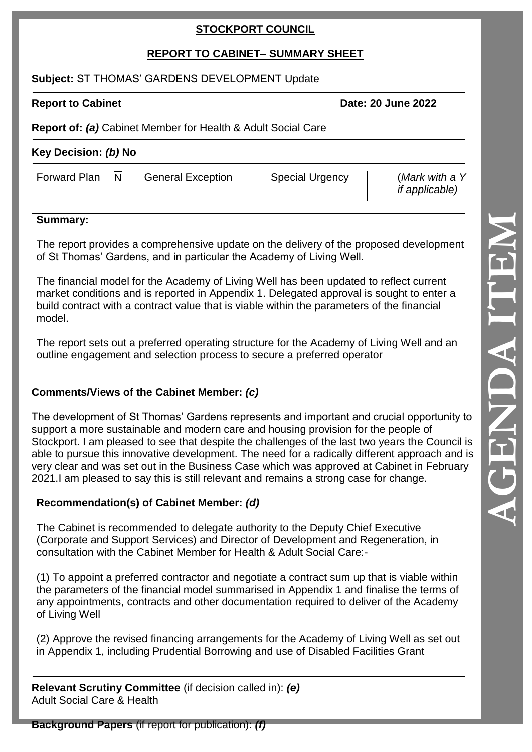# **STOCKPORT COUNCIL**

# **REPORT TO CABINET – SUMMARY SHEET**

### **Subject:** ST THOMAS' GARDENS DEVELOPMENT Update

**Report to Cabinet Date: 20 June 2022** 

## **Report of:** *(a)* Cabinet Member for Health & Adult Social Care

| Key Decision: (b) No |   |                          |  |                        |  |                                         |
|----------------------|---|--------------------------|--|------------------------|--|-----------------------------------------|
| Forward Plan         | N | <b>General Exception</b> |  | <b>Special Urgency</b> |  | (Mark with a Y<br><i>if applicable)</i> |

### **Summary:**

The report provides a comprehensive update on the delivery of the proposed development of St Thomas' Gardens, and in particular the Academy of Living Well.

The financial model for the Academy of Living Well has been updated to reflect current market conditions and is reported in Appendix 1. Delegated approval is sought to enter a build contract with a contract value that is viable within the parameters of the financial model.

The report sets out a preferred operating structure for the Academy of Living Well and an outline engagement and selection process to secure a preferred operator

# **Comments/Views of the Cabinet Member:** *(c)*

The development of St Thomas' Gardens represents and important and crucial opportunity to support a more sustainable and modern care and housing provision for the people of Stockport. I am pleased to see that despite the challenges of the last two years the Council is able to pursue this innovative development. The need for a radically different approach and is very clear and was set out in the Business Case which was approved at Cabinet in February 2021.I am pleased to say this is still relevant and remains a strong case for change.

# **Recommendation(s) of Cabinet Member:** *(d)*

The Cabinet is recommended to delegate authority to the Deputy Chief Executive (Corporate and Support Services) and Director of Development and Regeneration, in consultation with the Cabinet Member for Health & Adult Social Care: -

(1) To appoint a preferred contractor and negotiate a contract sum up that is viable within the parameters of the financial model summarised in Appendix 1 and finalise the terms of any appointments, contracts and other documentation required to deliver of the Academy of Living Well

(2) Approve the revised financing arrangements for the Academy of Living Well as set out in Appendix 1, including Prudential Borrowing and use of Disabled Facilities Grant

**Relevant Scrutiny Committee** (if decision called in): *(e)* Adult Social Care & Health